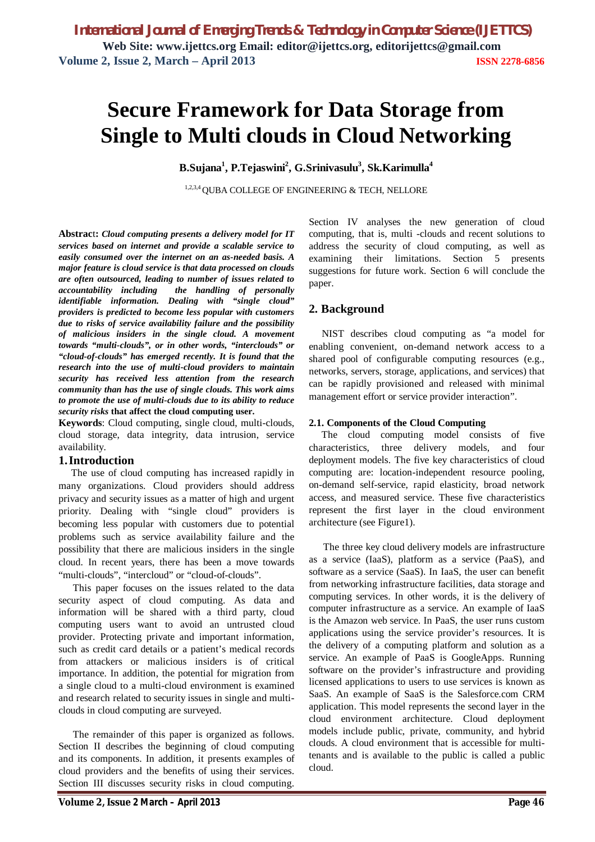# **Secure Framework for Data Storage from Single to Multi clouds in Cloud Networking**

**B.Sujana<sup>1</sup> , P.Tejaswini<sup>2</sup> , G.Srinivasulu<sup>3</sup> , Sk.Karimulla<sup>4</sup>**

1,2,3,4 QUBA COLLEGE OF ENGINEERING & TECH, NELLORE

**Abstrac**t**:** *Cloud computing presents a delivery model for IT services based on internet and provide a scalable service to easily consumed over the internet on an as-needed basis. A major feature is cloud service is that data processed on clouds are often outsourced, leading to number of issues related to accountability including the handling of personally identifiable information. Dealing with "single cloud" providers is predicted to become less popular with customers due to risks of service availability failure and the possibility of malicious insiders in the single cloud. A movement towards "multi-clouds", or in other words, "interclouds" or "cloud-of-clouds" has emerged recently. It is found that the research into the use of multi-cloud providers to maintain security has received less attention from the research community than has the use of single clouds. This work aims to promote the use of multi-clouds due to its ability to reduce security risks* **that affect the cloud computing user.**

**Keywords**: Cloud computing, single cloud, multi-clouds, cloud storage, data integrity, data intrusion, service availability.

## **1.Introduction**

The use of cloud computing has increased rapidly in many organizations. Cloud providers should address privacy and security issues as a matter of high and urgent priority. Dealing with "single cloud" providers is becoming less popular with customers due to potential problems such as service availability failure and the possibility that there are malicious insiders in the single cloud. In recent years, there has been a move towards "multi-clouds", "intercloud" or "cloud-of-clouds".

This paper focuses on the issues related to the data security aspect of cloud computing. As data and information will be shared with a third party, cloud computing users want to avoid an untrusted cloud provider. Protecting private and important information, such as credit card details or a patient's medical records from attackers or malicious insiders is of critical importance. In addition, the potential for migration from a single cloud to a multi-cloud environment is examined and research related to security issues in single and multiclouds in cloud computing are surveyed.

The remainder of this paper is organized as follows. Section II describes the beginning of cloud computing and its components. In addition, it presents examples of cloud providers and the benefits of using their services. Section III discusses security risks in cloud computing.

Section IV analyses the new generation of cloud computing, that is, multi -clouds and recent solutions to address the security of cloud computing, as well as examining their limitations. Section 5 presents suggestions for future work. Section 6 will conclude the paper.

# **2. Background**

NIST describes cloud computing as "a model for enabling convenient, on-demand network access to a shared pool of configurable computing resources (e.g., networks, servers, storage, applications, and services) that can be rapidly provisioned and released with minimal management effort or service provider interaction".

#### **2.1. Components of the Cloud Computing**

The cloud computing model consists of five characteristics, three delivery models, and four deployment models. The five key characteristics of cloud computing are: location-independent resource pooling, on-demand self-service, rapid elasticity, broad network access, and measured service. These five characteristics represent the first layer in the cloud environment architecture (see Figure1).

The three key cloud delivery models are infrastructure as a service (IaaS), platform as a service (PaaS), and software as a service (SaaS). In IaaS, the user can benefit from networking infrastructure facilities, data storage and computing services. In other words, it is the delivery of computer infrastructure as a service. An example of IaaS is the Amazon web service. In PaaS, the user runs custom applications using the service provider's resources. It is the delivery of a computing platform and solution as a service. An example of PaaS is GoogleApps. Running software on the provider's infrastructure and providing licensed applications to users to use services is known as SaaS. An example of SaaS is the Salesforce.com CRM application. This model represents the second layer in the cloud environment architecture. Cloud deployment models include public, private, community, and hybrid clouds. A cloud environment that is accessible for multitenants and is available to the public is called a public cloud.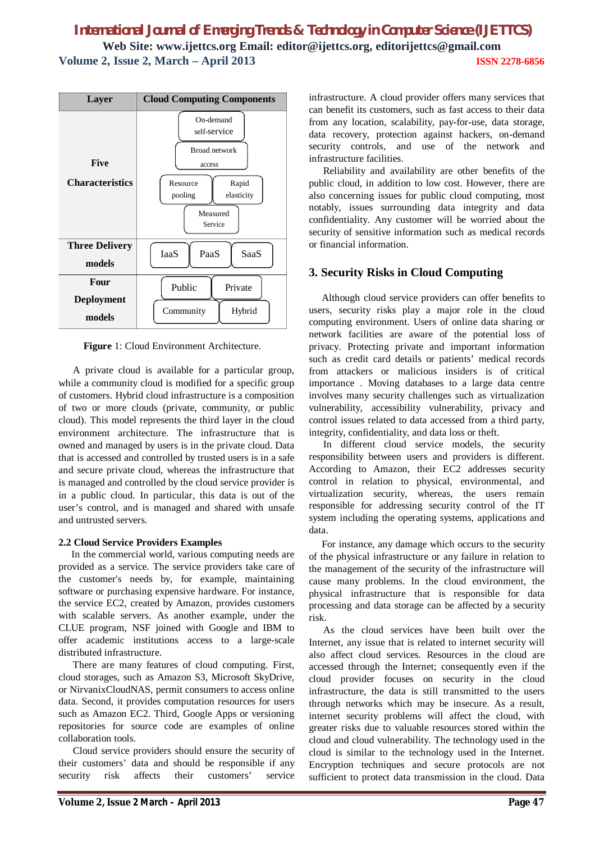

**Figure** 1: Cloud Environment Architecture.

A private cloud is available for a particular group, while a community cloud is modified for a specific group of customers. Hybrid cloud infrastructure is a composition of two or more clouds (private, community, or public cloud). This model represents the third layer in the cloud environment architecture. The infrastructure that is owned and managed by users is in the private cloud. Data that is accessed and controlled by trusted users is in a safe and secure private cloud, whereas the infrastructure that is managed and controlled by the cloud service provider is in a public cloud. In particular, this data is out of the user's control, and is managed and shared with unsafe and untrusted servers.

## **2.2 Cloud Service Providers Examples**

In the commercial world, various computing needs are provided as a service. The service providers take care of the customer's needs by, for example, maintaining software or purchasing expensive hardware. For instance, the service EC2, created by Amazon, provides customers with scalable servers. As another example, under the CLUE program, NSF joined with Google and IBM to offer academic institutions access to a large-scale distributed infrastructure.

There are many features of cloud computing. First, cloud storages, such as Amazon S3, Microsoft SkyDrive, or NirvanixCloudNAS, permit consumers to access online data. Second, it provides computation resources for users such as Amazon EC2. Third, Google Apps or versioning repositories for source code are examples of online collaboration tools.

Cloud service providers should ensure the security of their customers' data and should be responsible if any security risk affects their customers' service infrastructure. A cloud provider offers many services that can benefit its customers, such as fast access to their data from any location, scalability, pay-for-use, data storage, data recovery, protection against hackers, on-demand security controls, and use of the network and infrastructure facilities.

Reliability and availability are other benefits of the public cloud, in addition to low cost. However, there are also concerning issues for public cloud computing, most notably, issues surrounding data integrity and data confidentiality. Any customer will be worried about the security of sensitive information such as medical records or financial information.

# **3. Security Risks in Cloud Computing**

Although cloud service providers can offer benefits to users, security risks play a major role in the cloud computing environment. Users of online data sharing or network facilities are aware of the potential loss of privacy. Protecting private and important information such as credit card details or patients' medical records from attackers or malicious insiders is of critical importance . Moving databases to a large data centre involves many security challenges such as virtualization vulnerability, accessibility vulnerability, privacy and control issues related to data accessed from a third party, integrity, confidentiality, and data loss or theft.

In different cloud service models, the security responsibility between users and providers is different. According to Amazon, their EC2 addresses security control in relation to physical, environmental, and virtualization security, whereas, the users remain responsible for addressing security control of the IT system including the operating systems, applications and data.

For instance, any damage which occurs to the security of the physical infrastructure or any failure in relation to the management of the security of the infrastructure will cause many problems. In the cloud environment, the physical infrastructure that is responsible for data processing and data storage can be affected by a security risk.

As the cloud services have been built over the Internet, any issue that is related to internet security will also affect cloud services. Resources in the cloud are accessed through the Internet; consequently even if the cloud provider focuses on security in the cloud infrastructure, the data is still transmitted to the users through networks which may be insecure. As a result, internet security problems will affect the cloud, with greater risks due to valuable resources stored within the cloud and cloud vulnerability. The technology used in the cloud is similar to the technology used in the Internet. Encryption techniques and secure protocols are not sufficient to protect data transmission in the cloud. Data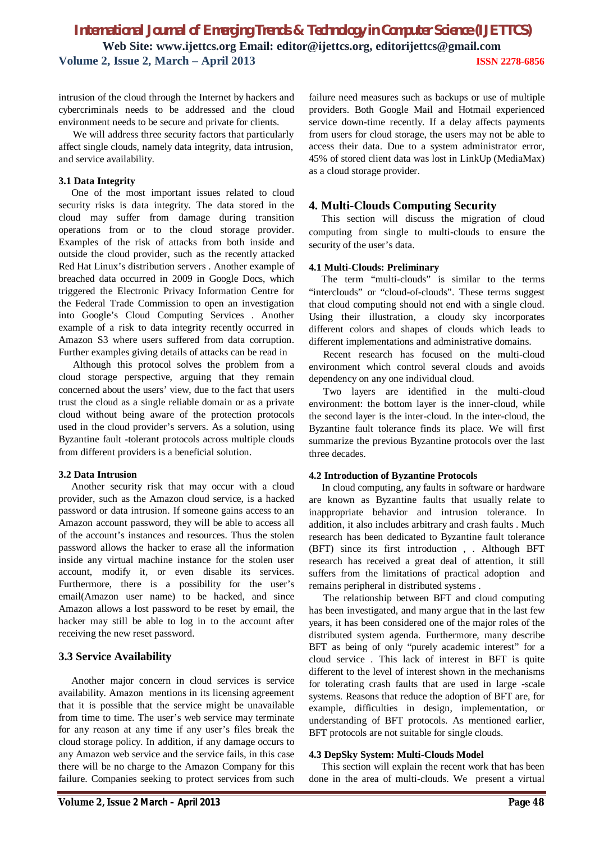intrusion of the cloud through the Internet by hackers and cybercriminals needs to be addressed and the cloud environment needs to be secure and private for clients.

We will address three security factors that particularly affect single clouds, namely data integrity, data intrusion, and service availability.

#### **3.1 Data Integrity**

One of the most important issues related to cloud security risks is data integrity. The data stored in the cloud may suffer from damage during transition operations from or to the cloud storage provider. Examples of the risk of attacks from both inside and outside the cloud provider, such as the recently attacked Red Hat Linux's distribution servers . Another example of breached data occurred in 2009 in Google Docs, which triggered the Electronic Privacy Information Centre for the Federal Trade Commission to open an investigation into Google's Cloud Computing Services . Another example of a risk to data integrity recently occurred in Amazon S3 where users suffered from data corruption. Further examples giving details of attacks can be read in

Although this protocol solves the problem from a cloud storage perspective, arguing that they remain concerned about the users' view, due to the fact that users trust the cloud as a single reliable domain or as a private cloud without being aware of the protection protocols used in the cloud provider's servers. As a solution, using Byzantine fault -tolerant protocols across multiple clouds from different providers is a beneficial solution.

## **3.2 Data Intrusion**

Another security risk that may occur with a cloud provider, such as the Amazon cloud service, is a hacked password or data intrusion. If someone gains access to an Amazon account password, they will be able to access all of the account's instances and resources. Thus the stolen password allows the hacker to erase all the information inside any virtual machine instance for the stolen user account, modify it, or even disable its services. Furthermore, there is a possibility for the user's email(Amazon user name) to be hacked, and since Amazon allows a lost password to be reset by email, the hacker may still be able to log in to the account after receiving the new reset password.

## **3.3 Service Availability**

Another major concern in cloud services is service availability. Amazon mentions in its licensing agreement that it is possible that the service might be unavailable from time to time. The user's web service may terminate for any reason at any time if any user's files break the cloud storage policy. In addition, if any damage occurs to any Amazon web service and the service fails, in this case there will be no charge to the Amazon Company for this failure. Companies seeking to protect services from such

failure need measures such as backups or use of multiple providers. Both Google Mail and Hotmail experienced service down-time recently. If a delay affects payments from users for cloud storage, the users may not be able to access their data. Due to a system administrator error, 45% of stored client data was lost in LinkUp (MediaMax) as a cloud storage provider.

## **4. Multi-Clouds Computing Security**

This section will discuss the migration of cloud computing from single to multi-clouds to ensure the security of the user's data.

#### **4.1 Multi-Clouds: Preliminary**

The term "multi-clouds" is similar to the terms "interclouds" or "cloud-of-clouds". These terms suggest that cloud computing should not end with a single cloud. Using their illustration, a cloudy sky incorporates different colors and shapes of clouds which leads to different implementations and administrative domains.

Recent research has focused on the multi-cloud environment which control several clouds and avoids dependency on any one individual cloud.

Two layers are identified in the multi-cloud environment: the bottom layer is the inner-cloud, while the second layer is the inter-cloud. In the inter-cloud, the Byzantine fault tolerance finds its place. We will first summarize the previous Byzantine protocols over the last three decades.

#### **4.2 Introduction of Byzantine Protocols**

In cloud computing, any faults in software or hardware are known as Byzantine faults that usually relate to inappropriate behavior and intrusion tolerance. In addition, it also includes arbitrary and crash faults . Much research has been dedicated to Byzantine fault tolerance (BFT) since its first introduction , . Although BFT research has received a great deal of attention, it still suffers from the limitations of practical adoption and remains peripheral in distributed systems .

The relationship between BFT and cloud computing has been investigated, and many argue that in the last few years, it has been considered one of the major roles of the distributed system agenda. Furthermore, many describe BFT as being of only "purely academic interest" for a cloud service . This lack of interest in BFT is quite different to the level of interest shown in the mechanisms for tolerating crash faults that are used in large -scale systems. Reasons that reduce the adoption of BFT are, for example, difficulties in design, implementation, or understanding of BFT protocols. As mentioned earlier, BFT protocols are not suitable for single clouds.

## **4.3 DepSky System: Multi-Clouds Model**

This section will explain the recent work that has been done in the area of multi-clouds. We present a virtual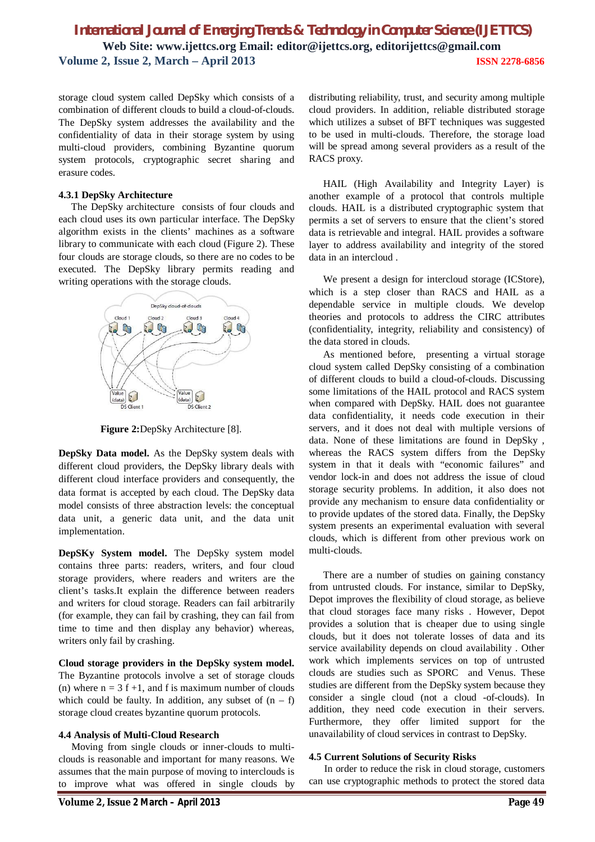storage cloud system called DepSky which consists of a combination of different clouds to build a cloud-of-clouds. The DepSky system addresses the availability and the confidentiality of data in their storage system by using multi-cloud providers, combining Byzantine quorum system protocols, cryptographic secret sharing and erasure codes.

#### **4.3.1 DepSky Architecture**

The DepSky architecture consists of four clouds and each cloud uses its own particular interface. The DepSky algorithm exists in the clients' machines as a software library to communicate with each cloud (Figure 2). These four clouds are storage clouds, so there are no codes to be executed. The DepSky library permits reading and writing operations with the storage clouds.



**Figure 2:**DepSky Architecture [8].

**DepSky Data model.** As the DepSky system deals with different cloud providers, the DepSky library deals with different cloud interface providers and consequently, the data format is accepted by each cloud. The DepSky data model consists of three abstraction levels: the conceptual data unit, a generic data unit, and the data unit implementation.

**DepSKy System model.** The DepSky system model contains three parts: readers, writers, and four cloud storage providers, where readers and writers are the client's tasks.It explain the difference between readers and writers for cloud storage. Readers can fail arbitrarily (for example, they can fail by crashing, they can fail from time to time and then display any behavior) whereas, writers only fail by crashing.

**Cloud storage providers in the DepSky system model.**  The Byzantine protocols involve a set of storage clouds (n) where  $n = 3 f + 1$ , and f is maximum number of clouds which could be faulty. In addition, any subset of  $(n - f)$ storage cloud creates byzantine quorum protocols.

#### **4.4 Analysis of Multi-Cloud Research**

Moving from single clouds or inner-clouds to multiclouds is reasonable and important for many reasons. We assumes that the main purpose of moving to interclouds is to improve what was offered in single clouds by

distributing reliability, trust, and security among multiple cloud providers. In addition, reliable distributed storage which utilizes a subset of BFT techniques was suggested to be used in multi-clouds. Therefore, the storage load will be spread among several providers as a result of the RACS proxy.

HAIL (High Availability and Integrity Layer) is another example of a protocol that controls multiple clouds. HAIL is a distributed cryptographic system that permits a set of servers to ensure that the client's stored data is retrievable and integral. HAIL provides a software layer to address availability and integrity of the stored data in an intercloud .

We present a design for intercloud storage (ICStore), which is a step closer than RACS and HAIL as a dependable service in multiple clouds. We develop theories and protocols to address the CIRC attributes (confidentiality, integrity, reliability and consistency) of the data stored in clouds.

As mentioned before, presenting a virtual storage cloud system called DepSky consisting of a combination of different clouds to build a cloud-of-clouds. Discussing some limitations of the HAIL protocol and RACS system when compared with DepSky. HAIL does not guarantee data confidentiality, it needs code execution in their servers, and it does not deal with multiple versions of data. None of these limitations are found in DepSky , whereas the RACS system differs from the DepSky system in that it deals with "economic failures" and vendor lock-in and does not address the issue of cloud storage security problems. In addition, it also does not provide any mechanism to ensure data confidentiality or to provide updates of the stored data. Finally, the DepSky system presents an experimental evaluation with several clouds, which is different from other previous work on multi-clouds.

There are a number of studies on gaining constancy from untrusted clouds. For instance, similar to DepSky, Depot improves the flexibility of cloud storage, as believe that cloud storages face many risks . However, Depot provides a solution that is cheaper due to using single clouds, but it does not tolerate losses of data and its service availability depends on cloud availability . Other work which implements services on top of untrusted clouds are studies such as SPORC and Venus. These studies are different from the DepSky system because they consider a single cloud (not a cloud -of-clouds). In addition, they need code execution in their servers. Furthermore, they offer limited support for the unavailability of cloud services in contrast to DepSky.

#### **4.5 Current Solutions of Security Risks**

In order to reduce the risk in cloud storage, customers can use cryptographic methods to protect the stored data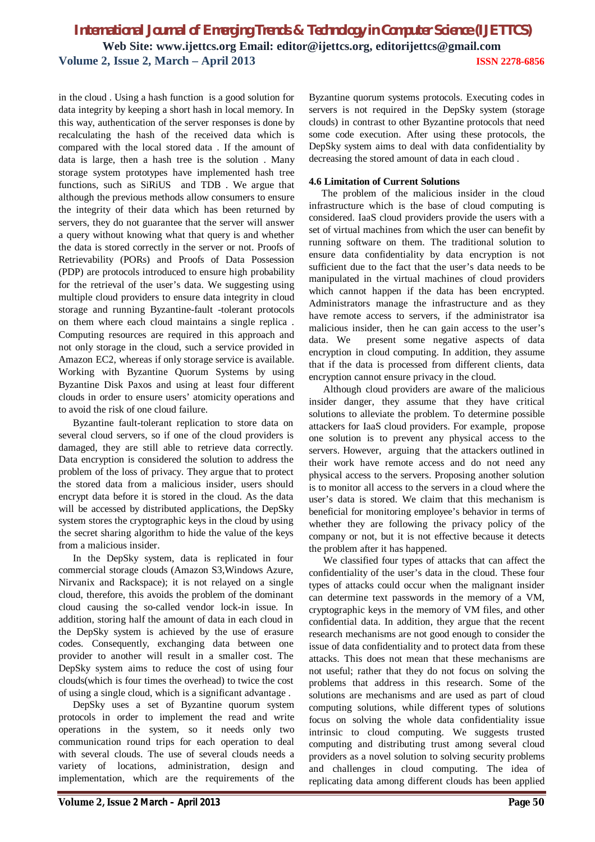in the cloud . Using a hash function is a good solution for data integrity by keeping a short hash in local memory. In this way, authentication of the server responses is done by recalculating the hash of the received data which is compared with the local stored data . If the amount of data is large, then a hash tree is the solution . Many storage system prototypes have implemented hash tree functions, such as SiRiUS and TDB . We argue that although the previous methods allow consumers to ensure the integrity of their data which has been returned by servers, they do not guarantee that the server will answer a query without knowing what that query is and whether the data is stored correctly in the server or not. Proofs of Retrievability (PORs) and Proofs of Data Possession (PDP) are protocols introduced to ensure high probability for the retrieval of the user's data. We suggesting using multiple cloud providers to ensure data integrity in cloud storage and running Byzantine-fault -tolerant protocols on them where each cloud maintains a single replica . Computing resources are required in this approach and not only storage in the cloud, such a service provided in Amazon EC2, whereas if only storage service is available. Working with Byzantine Quorum Systems by using Byzantine Disk Paxos and using at least four different clouds in order to ensure users' atomicity operations and to avoid the risk of one cloud failure.

Byzantine fault-tolerant replication to store data on several cloud servers, so if one of the cloud providers is damaged, they are still able to retrieve data correctly. Data encryption is considered the solution to address the problem of the loss of privacy. They argue that to protect the stored data from a malicious insider, users should encrypt data before it is stored in the cloud. As the data will be accessed by distributed applications, the DepSky system stores the cryptographic keys in the cloud by using the secret sharing algorithm to hide the value of the keys from a malicious insider.

In the DepSky system, data is replicated in four commercial storage clouds (Amazon S3,Windows Azure, Nirvanix and Rackspace); it is not relayed on a single cloud, therefore, this avoids the problem of the dominant cloud causing the so-called vendor lock-in issue. In addition, storing half the amount of data in each cloud in the DepSky system is achieved by the use of erasure codes. Consequently, exchanging data between one provider to another will result in a smaller cost. The DepSky system aims to reduce the cost of using four clouds(which is four times the overhead) to twice the cost of using a single cloud, which is a significant advantage .

DepSky uses a set of Byzantine quorum system protocols in order to implement the read and write operations in the system, so it needs only two communication round trips for each operation to deal with several clouds. The use of several clouds needs a variety of locations, administration, design and implementation, which are the requirements of the Byzantine quorum systems protocols. Executing codes in servers is not required in the DepSky system (storage clouds) in contrast to other Byzantine protocols that need some code execution. After using these protocols, the DepSky system aims to deal with data confidentiality by decreasing the stored amount of data in each cloud .

#### **4.6 Limitation of Current Solutions**

The problem of the malicious insider in the cloud infrastructure which is the base of cloud computing is considered. IaaS cloud providers provide the users with a set of virtual machines from which the user can benefit by running software on them. The traditional solution to ensure data confidentiality by data encryption is not sufficient due to the fact that the user's data needs to be manipulated in the virtual machines of cloud providers which cannot happen if the data has been encrypted. Administrators manage the infrastructure and as they have remote access to servers, if the administrator isa malicious insider, then he can gain access to the user's data. We present some negative aspects of data encryption in cloud computing. In addition, they assume that if the data is processed from different clients, data encryption cannot ensure privacy in the cloud.

Although cloud providers are aware of the malicious insider danger, they assume that they have critical solutions to alleviate the problem. To determine possible attackers for IaaS cloud providers. For example, propose one solution is to prevent any physical access to the servers. However, arguing that the attackers outlined in their work have remote access and do not need any physical access to the servers. Proposing another solution is to monitor all access to the servers in a cloud where the user's data is stored. We claim that this mechanism is beneficial for monitoring employee's behavior in terms of whether they are following the privacy policy of the company or not, but it is not effective because it detects the problem after it has happened.

We classified four types of attacks that can affect the confidentiality of the user's data in the cloud. These four types of attacks could occur when the malignant insider can determine text passwords in the memory of a VM, cryptographic keys in the memory of VM files, and other confidential data. In addition, they argue that the recent research mechanisms are not good enough to consider the issue of data confidentiality and to protect data from these attacks. This does not mean that these mechanisms are not useful; rather that they do not focus on solving the problems that address in this research. Some of the solutions are mechanisms and are used as part of cloud computing solutions, while different types of solutions focus on solving the whole data confidentiality issue intrinsic to cloud computing. We suggests trusted computing and distributing trust among several cloud providers as a novel solution to solving security problems and challenges in cloud computing. The idea of replicating data among different clouds has been applied